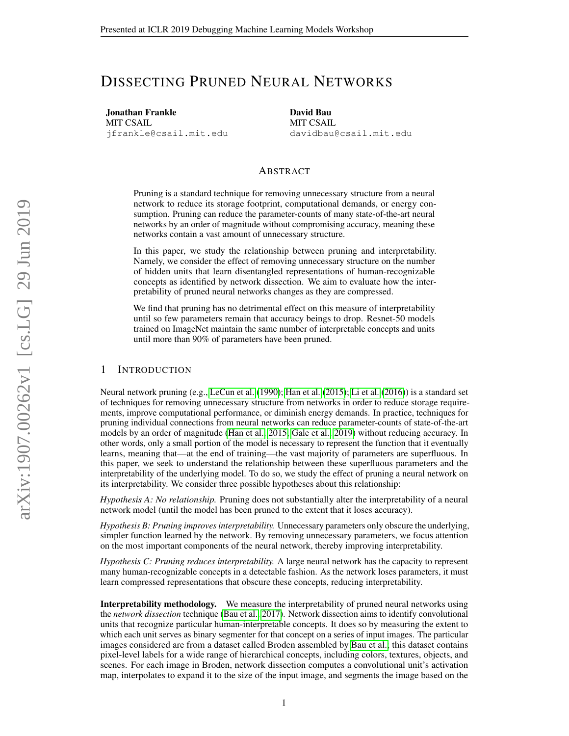# DISSECTING PRUNED NEURAL NETWORKS

Jonathan Frankle MIT CSAIL jfrankle@csail.mit.edu David Bau MIT CSAIL davidbau@csail.mit.edu

## ABSTRACT

Pruning is a standard technique for removing unnecessary structure from a neural network to reduce its storage footprint, computational demands, or energy consumption. Pruning can reduce the parameter-counts of many state-of-the-art neural networks by an order of magnitude without compromising accuracy, meaning these networks contain a vast amount of unnecessary structure.

In this paper, we study the relationship between pruning and interpretability. Namely, we consider the effect of removing unnecessary structure on the number of hidden units that learn disentangled representations of human-recognizable concepts as identified by network dissection. We aim to evaluate how the interpretability of pruned neural networks changes as they are compressed.

We find that pruning has no detrimental effect on this measure of interpretability until so few parameters remain that accuracy beings to drop. Resnet-50 models trained on ImageNet maintain the same number of interpretable concepts and units until more than 90% of parameters have been pruned.

#### 1 INTRODUCTION

Neural network pruning (e.g., [LeCun et al.](#page-4-0) [\(1990\)](#page-4-0); [Han et al.](#page-4-1) [\(2015\)](#page-4-1); [Li et al.](#page-4-2) [\(2016\)](#page-4-2)) is a standard set of techniques for removing unnecessary structure from networks in order to reduce storage requirements, improve computational performance, or diminish energy demands. In practice, techniques for pruning individual connections from neural networks can reduce parameter-counts of state-of-the-art models by an order of magnitude [\(Han et al., 2015;](#page-4-1) [Gale et al., 2019\)](#page-4-3) without reducing accuracy. In other words, only a small portion of the model is necessary to represent the function that it eventually learns, meaning that—at the end of training—the vast majority of parameters are superfluous. In this paper, we seek to understand the relationship between these superfluous parameters and the interpretability of the underlying model. To do so, we study the effect of pruning a neural network on its interpretability. We consider three possible hypotheses about this relationship:

*Hypothesis A: No relationship.* Pruning does not substantially alter the interpretability of a neural network model (until the model has been pruned to the extent that it loses accuracy).

*Hypothesis B: Pruning improves interpretability.* Unnecessary parameters only obscure the underlying, simpler function learned by the network. By removing unnecessary parameters, we focus attention on the most important components of the neural network, thereby improving interpretability.

*Hypothesis C: Pruning reduces interpretability.* A large neural network has the capacity to represent many human-recognizable concepts in a detectable fashion. As the network loses parameters, it must learn compressed representations that obscure these concepts, reducing interpretability.

Interpretability methodology. We measure the interpretability of pruned neural networks using the *network dissection* technique [\(Bau et al., 2017\)](#page-4-4). Network dissection aims to identify convolutional units that recognize particular human-interpretable concepts. It does so by measuring the extent to which each unit serves as binary segmenter for that concept on a series of input images. The particular images considered are from a dataset called Broden assembled by [Bau et al.;](#page-4-4) this dataset contains pixel-level labels for a wide range of hierarchical concepts, including colors, textures, objects, and scenes. For each image in Broden, network dissection computes a convolutional unit's activation map, interpolates to expand it to the size of the input image, and segments the image based on the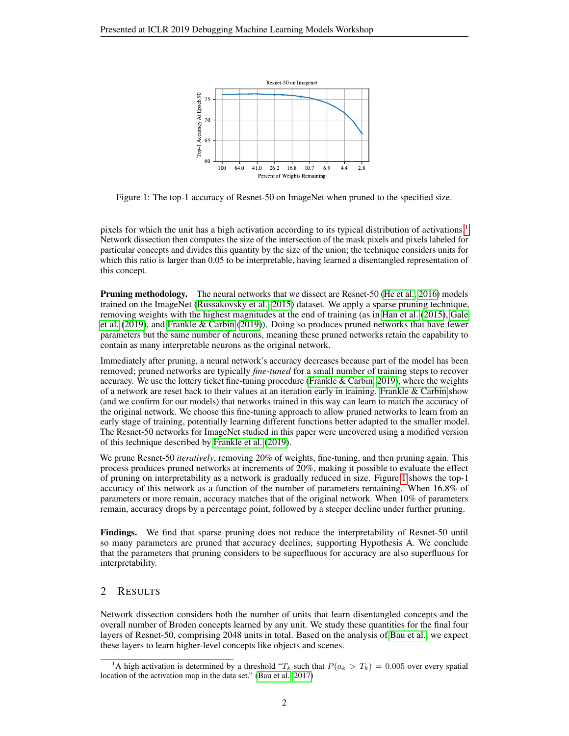<span id="page-1-1"></span>

Figure 1: The top-1 accuracy of Resnet-50 on ImageNet when pruned to the specified size.

pixels for which the unit has a high activation according to its typical distribution of activations.<sup>[1](#page-1-0)</sup> Network dissection then computes the size of the intersection of the mask pixels and pixels labeled for particular concepts and divides this quantity by the size of the union; the technique considers units for which this ratio is larger than 0.05 to be interpretable, having learned a disentangled representation of this concept.

**Pruning methodology.** The neural networks that we dissect are Resnet-50 [\(He et al., 2016\)](#page-4-5) models trained on the ImageNet [\(Russakovsky et al., 2015\)](#page-4-6) dataset. We apply a sparse pruning technique, removing weights with the highest magnitudes at the end of training (as in [Han et al.](#page-4-1) [\(2015\)](#page-4-1), [Gale](#page-4-3) [et al.](#page-4-3) [\(2019\)](#page-4-3), and [Frankle & Carbin](#page-4-7) [\(2019\)](#page-4-7)). Doing so produces pruned networks that have fewer parameters but the same number of neurons, meaning these pruned networks retain the capability to contain as many interpretable neurons as the original network.

Immediately after pruning, a neural network's accuracy decreases because part of the model has been removed; pruned networks are typically *fine-tuned* for a small number of training steps to recover accuracy. We use the lottery ticket fine-tuning procedure [\(Frankle & Carbin, 2019\)](#page-4-7), where the weights of a network are reset back to their values at an iteration early in training. [Frankle & Carbin](#page-4-7) show (and we confirm for our models) that networks trained in this way can learn to match the accuracy of the original network. We choose this fine-tuning approach to allow pruned networks to learn from an early stage of training, potentially learning different functions better adapted to the smaller model. The Resnet-50 networks for ImageNet studied in this paper were uncovered using a modified version of this technique described by [Frankle et al.](#page-4-8) [\(2019\)](#page-4-8).

We prune Resnet-50 *iteratively*, removing 20% of weights, fine-tuning, and then pruning again. This process produces pruned networks at increments of 20%, making it possible to evaluate the effect of pruning on interpretability as a network is gradually reduced in size. Figure [1](#page-1-1) shows the top-1 accuracy of this network as a function of the number of parameters remaining. When 16.8% of parameters or more remain, accuracy matches that of the original network. When 10% of parameters remain, accuracy drops by a percentage point, followed by a steeper decline under further pruning.

Findings. We find that sparse pruning does not reduce the interpretability of Resnet-50 until so many parameters are pruned that accuracy declines, supporting Hypothesis A. We conclude that the parameters that pruning considers to be superfluous for accuracy are also superfluous for interpretability.

# 2 RESULTS

Network dissection considers both the number of units that learn disentangled concepts and the overall number of Broden concepts learned by any unit. We study these quantities for the final four layers of Resnet-50, comprising 2048 units in total. Based on the analysis of [Bau et al.,](#page-4-4) we expect these layers to learn higher-level concepts like objects and scenes.

<span id="page-1-0"></span><sup>&</sup>lt;sup>1</sup>A high activation is determined by a threshold "T<sub>k</sub> such that  $P(a_k > T_k) = 0.005$  over every spatial location of the activation map in the data set." [\(Bau et al., 2017\)](#page-4-4)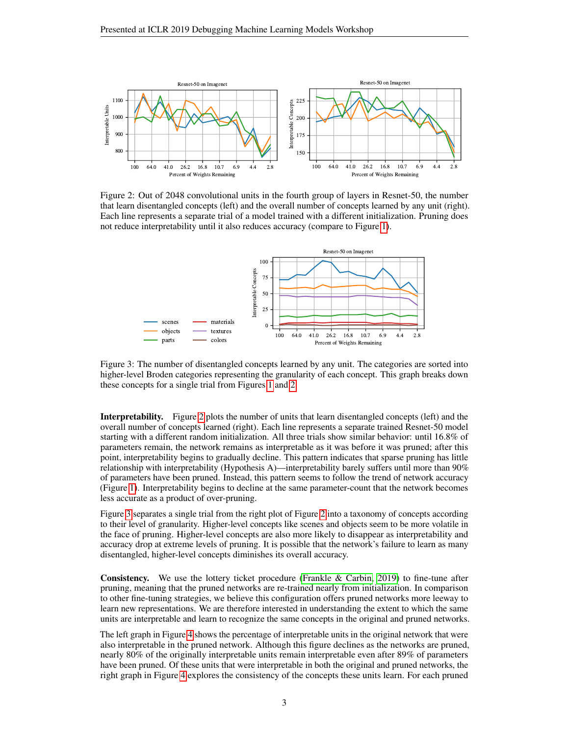<span id="page-2-0"></span>

Figure 2: Out of 2048 convolutional units in the fourth group of layers in Resnet-50, the number that learn disentangled concepts (left) and the overall number of concepts learned by any unit (right). Each line represents a separate trial of a model trained with a different initialization. Pruning does not reduce interpretability until it also reduces accuracy (compare to Figure [1\)](#page-1-1).

<span id="page-2-1"></span>

Figure 3: The number of disentangled concepts learned by any unit. The categories are sorted into higher-level Broden categories representing the granularity of each concept. This graph breaks down these concepts for a single trial from Figures [1](#page-1-1) and [2.](#page-2-0)

Interpretability. Figure [2](#page-2-0) plots the number of units that learn disentangled concepts (left) and the overall number of concepts learned (right). Each line represents a separate trained Resnet-50 model starting with a different random initialization. All three trials show similar behavior: until 16.8% of parameters remain, the network remains as interpretable as it was before it was pruned; after this point, interpretability begins to gradually decline. This pattern indicates that sparse pruning has little relationship with interpretability (Hypothesis A)—interpretability barely suffers until more than 90% of parameters have been pruned. Instead, this pattern seems to follow the trend of network accuracy (Figure [1\)](#page-1-1). Interpretability begins to decline at the same parameter-count that the network becomes less accurate as a product of over-pruning.

Figure [3](#page-2-1) separates a single trial from the right plot of Figure [2](#page-2-0) into a taxonomy of concepts according to their level of granularity. Higher-level concepts like scenes and objects seem to be more volatile in the face of pruning. Higher-level concepts are also more likely to disappear as interpretability and accuracy drop at extreme levels of pruning. It is possible that the network's failure to learn as many disentangled, higher-level concepts diminishes its overall accuracy.

Consistency. We use the lottery ticket procedure [\(Frankle & Carbin, 2019\)](#page-4-7) to fine-tune after pruning, meaning that the pruned networks are re-trained nearly from initialization. In comparison to other fine-tuning strategies, we believe this configuration offers pruned networks more leeway to learn new representations. We are therefore interested in understanding the extent to which the same units are interpretable and learn to recognize the same concepts in the original and pruned networks.

The left graph in Figure [4](#page-3-0) shows the percentage of interpretable units in the original network that were also interpretable in the pruned network. Although this figure declines as the networks are pruned, nearly 80% of the originally interpretable units remain interpretable even after 89% of parameters have been pruned. Of these units that were interpretable in both the original and pruned networks, the right graph in Figure [4](#page-3-0) explores the consistency of the concepts these units learn. For each pruned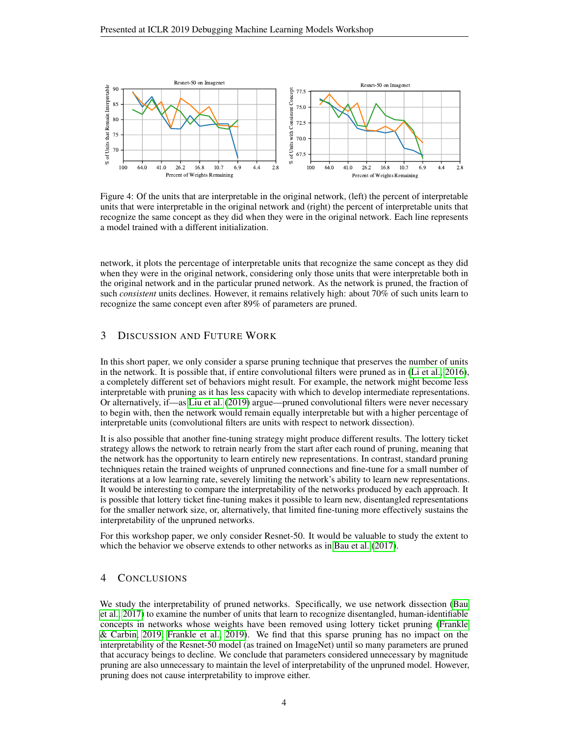<span id="page-3-0"></span>

Figure 4: Of the units that are interpretable in the original network, (left) the percent of interpretable units that were interpretable in the original network and (right) the percent of interpretable units that recognize the same concept as they did when they were in the original network. Each line represents a model trained with a different initialization.

network, it plots the percentage of interpretable units that recognize the same concept as they did when they were in the original network, considering only those units that were interpretable both in the original network and in the particular pruned network. As the network is pruned, the fraction of such *consistent* units declines. However, it remains relatively high: about 70% of such units learn to recognize the same concept even after 89% of parameters are pruned.

## 3 DISCUSSION AND FUTURE WORK

In this short paper, we only consider a sparse pruning technique that preserves the number of units in the network. It is possible that, if entire convolutional filters were pruned as in [\(Li et al., 2016\)](#page-4-2), a completely different set of behaviors might result. For example, the network might become less interpretable with pruning as it has less capacity with which to develop intermediate representations. Or alternatively, if—as [Liu et al.](#page-4-9) [\(2019\)](#page-4-9) argue—pruned convolutional filters were never necessary to begin with, then the network would remain equally interpretable but with a higher percentage of interpretable units (convolutional filters are units with respect to network dissection).

It is also possible that another fine-tuning strategy might produce different results. The lottery ticket strategy allows the network to retrain nearly from the start after each round of pruning, meaning that the network has the opportunity to learn entirely new representations. In contrast, standard pruning techniques retain the trained weights of unpruned connections and fine-tune for a small number of iterations at a low learning rate, severely limiting the network's ability to learn new representations. It would be interesting to compare the interpretability of the networks produced by each approach. It is possible that lottery ticket fine-tuning makes it possible to learn new, disentangled representations for the smaller network size, or, alternatively, that limited fine-tuning more effectively sustains the interpretability of the unpruned networks.

For this workshop paper, we only consider Resnet-50. It would be valuable to study the extent to which the behavior we observe extends to other networks as in [Bau et al.](#page-4-4) [\(2017\)](#page-4-4).

## 4 CONCLUSIONS

We study the interpretability of pruned networks. Specifically, we use network dissection [\(Bau](#page-4-4) [et al., 2017\)](#page-4-4) to examine the number of units that learn to recognize disentangled, human-identifiable concepts in networks whose weights have been removed using lottery ticket pruning [\(Frankle](#page-4-7) [& Carbin, 2019;](#page-4-7) [Frankle et al., 2019\)](#page-4-8). We find that this sparse pruning has no impact on the interpretability of the Resnet-50 model (as trained on ImageNet) until so many parameters are pruned that accuracy beings to decline. We conclude that parameters considered unnecessary by magnitude pruning are also unnecessary to maintain the level of interpretability of the unpruned model. However, pruning does not cause interpretability to improve either.